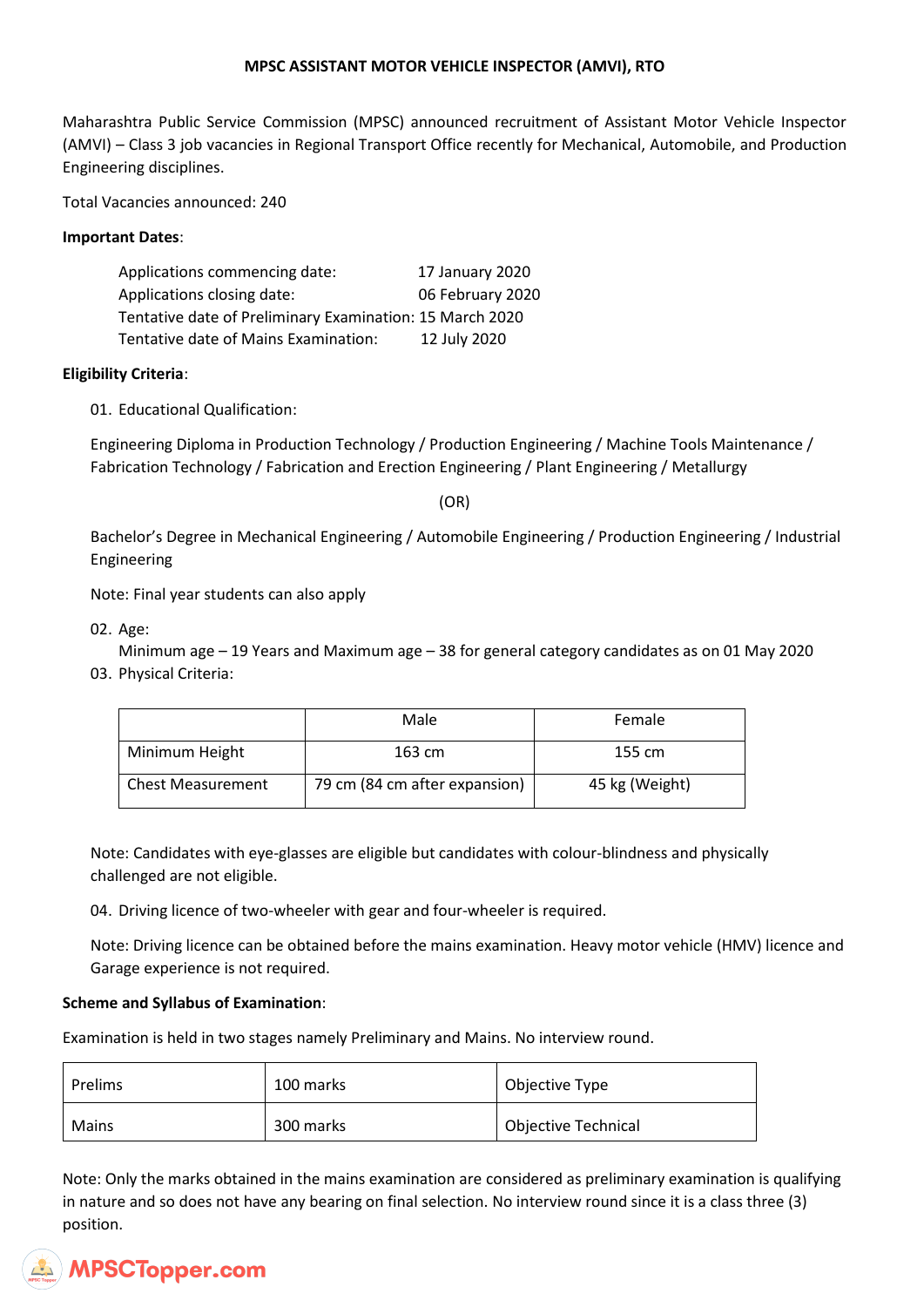### **MPSC ASSISTANT MOTOR VEHICLE INSPECTOR (AMVI), RTO**

Maharashtra Public Service Commission (MPSC) announced recruitment of Assistant Motor Vehicle Inspector (AMVI) – Class 3 job vacancies in Regional Transport Office recently for Mechanical, Automobile, and Production Engineering disciplines.

Total Vacancies announced: 240

#### **Important Dates**:

| Applications commencing date:                            | 17 January 2020  |
|----------------------------------------------------------|------------------|
| Applications closing date:                               | 06 February 2020 |
| Tentative date of Preliminary Examination: 15 March 2020 |                  |
| Tentative date of Mains Examination:                     | 12 July 2020     |

### **Eligibility Criteria**:

01. Educational Qualification:

Engineering Diploma in Production Technology / Production Engineering / Machine Tools Maintenance / Fabrication Technology / Fabrication and Erection Engineering / Plant Engineering / Metallurgy

(OR)

Bachelor's Degree in Mechanical Engineering / Automobile Engineering / Production Engineering / Industrial Engineering

Note: Final year students can also apply

02. Age:

Minimum age – 19 Years and Maximum age – 38 for general category candidates as on 01 May 2020 03. Physical Criteria:

|                          | Male                          | Female         |  |  |
|--------------------------|-------------------------------|----------------|--|--|
| Minimum Height           | 163 cm                        | 155 cm         |  |  |
| <b>Chest Measurement</b> | 79 cm (84 cm after expansion) | 45 kg (Weight) |  |  |

Note: Candidates with eye-glasses are eligible but candidates with colour-blindness and physically challenged are not eligible.

04. Driving licence of two-wheeler with gear and four-wheeler is required.

Note: Driving licence can be obtained before the mains examination. Heavy motor vehicle (HMV) licence and Garage experience is not required.

# **Scheme and Syllabus of Examination**:

Examination is held in two stages namely Preliminary and Mains. No interview round.

| Prelims | 100 marks | Objective Type             |
|---------|-----------|----------------------------|
| Mains   | 300 marks | <b>Objective Technical</b> |

Note: Only the marks obtained in the mains examination are considered as preliminary examination is qualifying in nature and so does not have any bearing on final selection. No interview round since it is a class three (3) position.

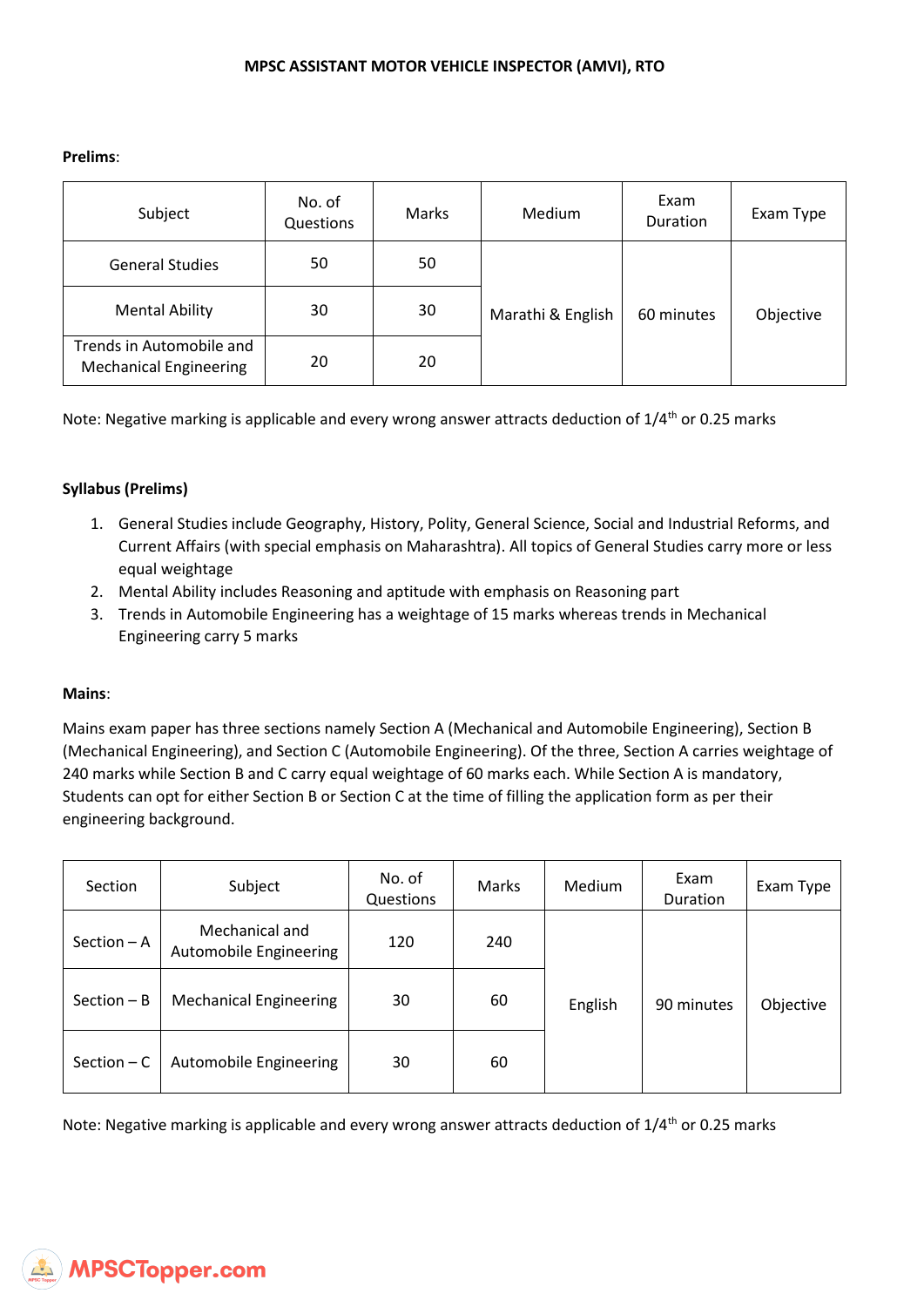**Prelims**:

| Subject                                                   | No. of<br>Questions | Marks | Medium            | Exam<br>Duration | Exam Type |
|-----------------------------------------------------------|---------------------|-------|-------------------|------------------|-----------|
| <b>General Studies</b>                                    | 50                  | 50    |                   | 60 minutes       | Objective |
| <b>Mental Ability</b>                                     | 30                  | 30    | Marathi & English |                  |           |
| Trends in Automobile and<br><b>Mechanical Engineering</b> | 20                  | 20    |                   |                  |           |

Note: Negative marking is applicable and every wrong answer attracts deduction of 1/4<sup>th</sup> or 0.25 marks

### **Syllabus (Prelims)**

- 1. General Studies include Geography, History, Polity, General Science, Social and Industrial Reforms, and Current Affairs (with special emphasis on Maharashtra). All topics of General Studies carry more or less equal weightage
- 2. Mental Ability includes Reasoning and aptitude with emphasis on Reasoning part
- 3. Trends in Automobile Engineering has a weightage of 15 marks whereas trends in Mechanical Engineering carry 5 marks

#### **Mains**:

Mains exam paper has three sections namely Section A (Mechanical and Automobile Engineering), Section B (Mechanical Engineering), and Section C (Automobile Engineering). Of the three, Section A carries weightage of 240 marks while Section B and C carry equal weightage of 60 marks each. While Section A is mandatory, Students can opt for either Section B or Section C at the time of filling the application form as per their engineering background.

| Section       | Subject                                  | No. of<br>Questions | Marks | Medium  | Exam<br>Duration | Exam Type |
|---------------|------------------------------------------|---------------------|-------|---------|------------------|-----------|
| Section - A   | Mechanical and<br>Automobile Engineering | 120                 | 240   |         |                  |           |
| $Section - B$ | <b>Mechanical Engineering</b>            | 30                  | 60    | English | 90 minutes       | Objective |
| Section $- C$ | Automobile Engineering                   | 30                  | 60    |         |                  |           |

Note: Negative marking is applicable and every wrong answer attracts deduction of 1/4<sup>th</sup> or 0.25 marks